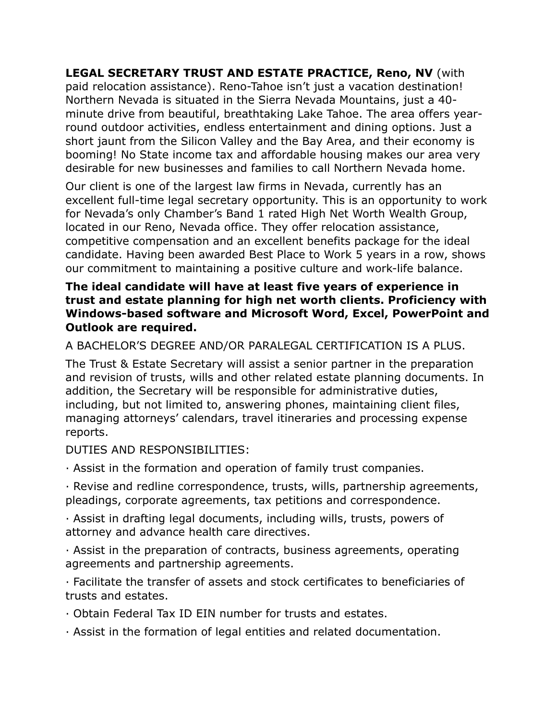**LEGAL SECRETARY TRUST AND ESTATE PRACTICE, Reno, NV** (with paid relocation assistance). Reno-Tahoe isn't just a vacation destination! Northern Nevada is situated in the Sierra Nevada Mountains, just a 40 minute drive from beautiful, breathtaking Lake Tahoe. The area offers yearround outdoor activities, endless entertainment and dining options. Just a short jaunt from the Silicon Valley and the Bay Area, and their economy is booming! No State income tax and affordable housing makes our area very desirable for new businesses and families to call Northern Nevada home.

Our client is one of the largest law firms in Nevada, currently has an excellent full-time legal secretary opportunity. This is an opportunity to work for Nevada's only Chamber's Band 1 rated High Net Worth Wealth Group, located in our Reno, Nevada office. They offer relocation assistance, competitive compensation and an excellent benefits package for the ideal candidate. Having been awarded Best Place to Work 5 years in a row, shows our commitment to maintaining a positive culture and work-life balance.

## **The ideal candidate will have at least five years of experience in trust and estate planning for high net worth clients. Proficiency with Windows-based software and Microsoft Word, Excel, PowerPoint and Outlook are required.**

## A BACHELOR'S DEGREE AND/OR PARALEGAL CERTIFICATION IS A PLUS.

The Trust & Estate Secretary will assist a senior partner in the preparation and revision of trusts, wills and other related estate planning documents. In addition, the Secretary will be responsible for administrative duties, including, but not limited to, answering phones, maintaining client files, managing attorneys' calendars, travel itineraries and processing expense reports.

DUTIES AND RESPONSIBILITIES:

· Assist in the formation and operation of family trust companies.

· Revise and redline correspondence, trusts, wills, partnership agreements, pleadings, corporate agreements, tax petitions and correspondence.

· Assist in drafting legal documents, including wills, trusts, powers of attorney and advance health care directives.

· Assist in the preparation of contracts, business agreements, operating agreements and partnership agreements.

· Facilitate the transfer of assets and stock certificates to beneficiaries of trusts and estates.

· Obtain Federal Tax ID EIN number for trusts and estates.

· Assist in the formation of legal entities and related documentation.